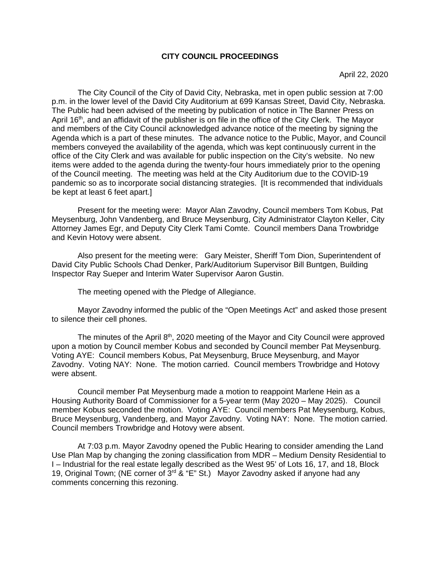## **CITY COUNCIL PROCEEDINGS**

April 22, 2020

The City Council of the City of David City, Nebraska, met in open public session at 7:00 p.m. in the lower level of the David City Auditorium at 699 Kansas Street, David City, Nebraska. The Public had been advised of the meeting by publication of notice in The Banner Press on April 16<sup>th</sup>, and an affidavit of the publisher is on file in the office of the City Clerk. The Mayor and members of the City Council acknowledged advance notice of the meeting by signing the Agenda which is a part of these minutes. The advance notice to the Public, Mayor, and Council members conveyed the availability of the agenda, which was kept continuously current in the office of the City Clerk and was available for public inspection on the City's website. No new items were added to the agenda during the twenty-four hours immediately prior to the opening of the Council meeting. The meeting was held at the City Auditorium due to the COVID-19 pandemic so as to incorporate social distancing strategies. [It is recommended that individuals be kept at least 6 feet apart.]

Present for the meeting were: Mayor Alan Zavodny, Council members Tom Kobus, Pat Meysenburg, John Vandenberg, and Bruce Meysenburg, City Administrator Clayton Keller, City Attorney James Egr, and Deputy City Clerk Tami Comte. Council members Dana Trowbridge and Kevin Hotovy were absent.

Also present for the meeting were: Gary Meister, Sheriff Tom Dion, Superintendent of David City Public Schools Chad Denker, Park/Auditorium Supervisor Bill Buntgen, Building Inspector Ray Sueper and Interim Water Supervisor Aaron Gustin.

The meeting opened with the Pledge of Allegiance.

Mayor Zavodny informed the public of the "Open Meetings Act" and asked those present to silence their cell phones.

The minutes of the April  $8<sup>th</sup>$ , 2020 meeting of the Mayor and City Council were approved upon a motion by Council member Kobus and seconded by Council member Pat Meysenburg. Voting AYE: Council members Kobus, Pat Meysenburg, Bruce Meysenburg, and Mayor Zavodny. Voting NAY: None. The motion carried. Council members Trowbridge and Hotovy were absent.

Council member Pat Meysenburg made a motion to reappoint Marlene Hein as a Housing Authority Board of Commissioner for a 5-year term (May 2020 – May 2025). Council member Kobus seconded the motion. Voting AYE: Council members Pat Meysenburg, Kobus, Bruce Meysenburg, Vandenberg, and Mayor Zavodny. Voting NAY: None. The motion carried. Council members Trowbridge and Hotovy were absent.

At 7:03 p.m. Mayor Zavodny opened the Public Hearing to consider amending the Land Use Plan Map by changing the zoning classification from MDR – Medium Density Residential to I – Industrial for the real estate legally described as the West 95' of Lots 16, 17, and 18, Block 19, Original Town; (NE corner of 3<sup>rd</sup> & "E" St.) Mayor Zavodny asked if anyone had any comments concerning this rezoning.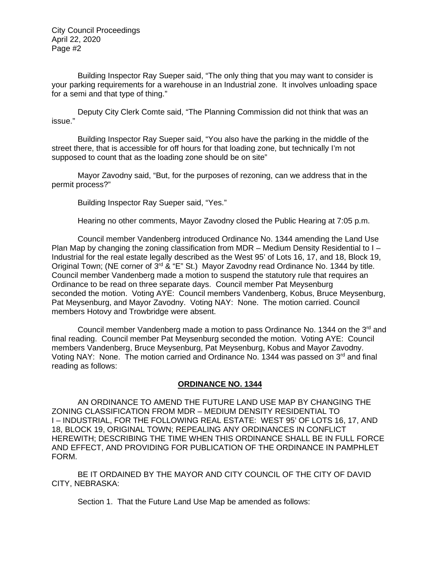Building Inspector Ray Sueper said, "The only thing that you may want to consider is your parking requirements for a warehouse in an Industrial zone. It involves unloading space for a semi and that type of thing."

Deputy City Clerk Comte said, "The Planning Commission did not think that was an issue."

Building Inspector Ray Sueper said, "You also have the parking in the middle of the street there, that is accessible for off hours for that loading zone, but technically I'm not supposed to count that as the loading zone should be on site"

Mayor Zavodny said, "But, for the purposes of rezoning, can we address that in the permit process?"

Building Inspector Ray Sueper said, "Yes."

Hearing no other comments, Mayor Zavodny closed the Public Hearing at 7:05 p.m.

Council member Vandenberg introduced Ordinance No. 1344 amending the Land Use Plan Map by changing the zoning classification from MDR – Medium Density Residential to  $I -$ Industrial for the real estate legally described as the West 95' of Lots 16, 17, and 18, Block 19, Original Town; (NE corner of  $3^{rd}$  & "E" St.) Mayor Zavodny read Ordinance No. 1344 by title. Council member Vandenberg made a motion to suspend the statutory rule that requires an Ordinance to be read on three separate days. Council member Pat Meysenburg seconded the motion. Voting AYE: Council members Vandenberg, Kobus, Bruce Meysenburg, Pat Meysenburg, and Mayor Zavodny. Voting NAY: None. The motion carried. Council members Hotovy and Trowbridge were absent.

Council member Vandenberg made a motion to pass Ordinance No. 1344 on the  $3<sup>rd</sup>$  and final reading. Council member Pat Meysenburg seconded the motion. Voting AYE: Council members Vandenberg, Bruce Meysenburg, Pat Meysenburg, Kobus and Mayor Zavodny. Voting NAY: None. The motion carried and Ordinance No. 1344 was passed on  $3<sup>rd</sup>$  and final reading as follows:

## **ORDINANCE NO. 1344**

AN ORDINANCE TO AMEND THE FUTURE LAND USE MAP BY CHANGING THE ZONING CLASSIFICATION FROM MDR – MEDIUM DENSITY RESIDENTIAL TO I – INDUSTRIAL, FOR THE FOLLOWING REAL ESTATE: WEST 95' OF LOTS 16, 17, AND 18, BLOCK 19, ORIGINAL TOWN; REPEALING ANY ORDINANCES IN CONFLICT HEREWITH; DESCRIBING THE TIME WHEN THIS ORDINANCE SHALL BE IN FULL FORCE AND EFFECT, AND PROVIDING FOR PUBLICATION OF THE ORDINANCE IN PAMPHLET FORM.

BE IT ORDAINED BY THE MAYOR AND CITY COUNCIL OF THE CITY OF DAVID CITY, NEBRASKA:

Section 1. That the Future Land Use Map be amended as follows: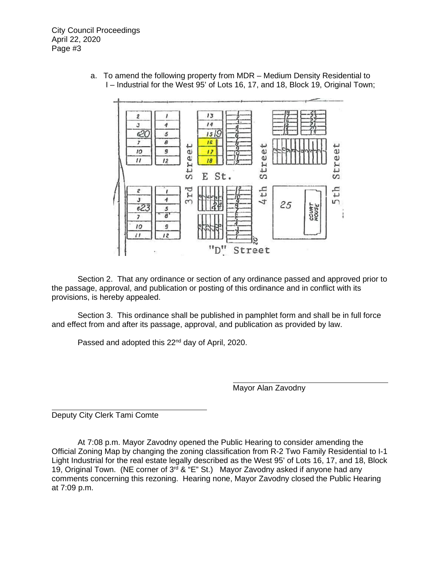> a. To amend the following property from MDR – Medium Density Residential to I – Industrial for the West 95' of Lots 16, 17, and 18, Block 19, Original Town;



Section 2. That any ordinance or section of any ordinance passed and approved prior to the passage, approval, and publication or posting of this ordinance and in conflict with its provisions, is hereby appealed.

 Section 3. This ordinance shall be published in pamphlet form and shall be in full force and effect from and after its passage, approval, and publication as provided by law.

Passed and adopted this 22<sup>nd</sup> day of April, 2020.

Mayor Alan Zavodny

Deputy City Clerk Tami Comte

At 7:08 p.m. Mayor Zavodny opened the Public Hearing to consider amending the Official Zoning Map by changing the zoning classification from R-2 Two Family Residential to I-1 Light Industrial for the real estate legally described as the West 95' of Lots 16, 17, and 18, Block 19, Original Town. (NE corner of  $3<sup>rd</sup>$  & "E" St.) Mayor Zavodny asked if anyone had any comments concerning this rezoning. Hearing none, Mayor Zavodny closed the Public Hearing at 7:09 p.m.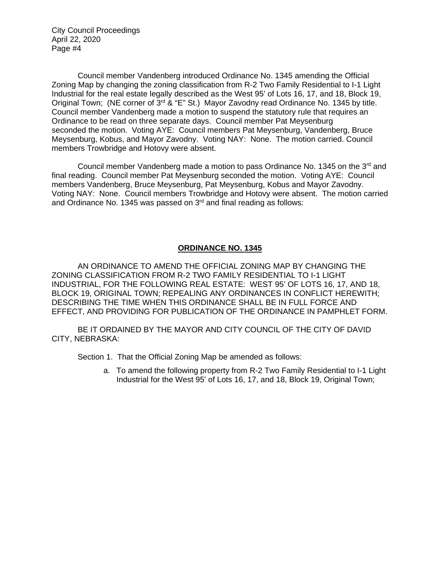Council member Vandenberg introduced Ordinance No. 1345 amending the Official Zoning Map by changing the zoning classification from R-2 Two Family Residential to I-1 Light Industrial for the real estate legally described as the West 95' of Lots 16, 17, and 18, Block 19, Original Town; (NE corner of 3<sup>rd</sup> & "E" St.) Mayor Zavodny read Ordinance No. 1345 by title. Council member Vandenberg made a motion to suspend the statutory rule that requires an Ordinance to be read on three separate days. Council member Pat Meysenburg seconded the motion. Voting AYE: Council members Pat Meysenburg, Vandenberg, Bruce Meysenburg, Kobus, and Mayor Zavodny. Voting NAY: None. The motion carried. Council members Trowbridge and Hotovy were absent.

Council member Vandenberg made a motion to pass Ordinance No. 1345 on the 3<sup>rd</sup> and final reading. Council member Pat Meysenburg seconded the motion. Voting AYE: Council members Vandenberg, Bruce Meysenburg, Pat Meysenburg, Kobus and Mayor Zavodny. Voting NAY: None. Council members Trowbridge and Hotovy were absent. The motion carried and Ordinance No. 1345 was passed on  $3<sup>rd</sup>$  and final reading as follows:

# **ORDINANCE NO. 1345**

AN ORDINANCE TO AMEND THE OFFICIAL ZONING MAP BY CHANGING THE ZONING CLASSIFICATION FROM R-2 TWO FAMILY RESIDENTIAL TO I-1 LIGHT INDUSTRIAL, FOR THE FOLLOWING REAL ESTATE: WEST 95' OF LOTS 16, 17, AND 18, BLOCK 19, ORIGINAL TOWN; REPEALING ANY ORDINANCES IN CONFLICT HEREWITH; DESCRIBING THE TIME WHEN THIS ORDINANCE SHALL BE IN FULL FORCE AND EFFECT, AND PROVIDING FOR PUBLICATION OF THE ORDINANCE IN PAMPHLET FORM.

BE IT ORDAINED BY THE MAYOR AND CITY COUNCIL OF THE CITY OF DAVID CITY, NEBRASKA:

Section 1. That the Official Zoning Map be amended as follows:

a. To amend the following property from R-2 Two Family Residential to I-1 Light Industrial for the West 95' of Lots 16, 17, and 18, Block 19, Original Town;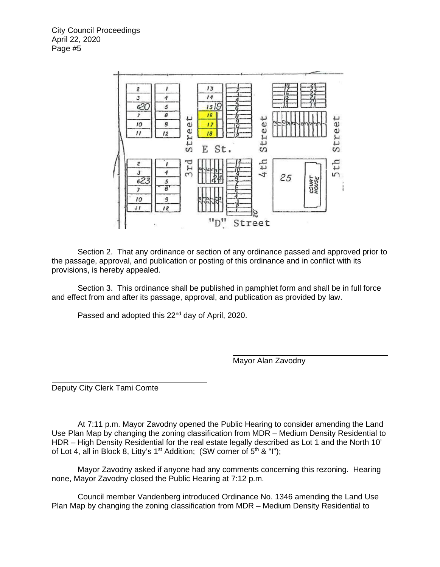

Section 2. That any ordinance or section of any ordinance passed and approved prior to the passage, approval, and publication or posting of this ordinance and in conflict with its provisions, is hereby appealed.

 Section 3. This ordinance shall be published in pamphlet form and shall be in full force and effect from and after its passage, approval, and publication as provided by law.

Passed and adopted this 22<sup>nd</sup> day of April, 2020.

Mayor Alan Zavodny

Deputy City Clerk Tami Comte

At 7:11 p.m. Mayor Zavodny opened the Public Hearing to consider amending the Land Use Plan Map by changing the zoning classification from MDR – Medium Density Residential to HDR – High Density Residential for the real estate legally described as Lot 1 and the North 10' of Lot 4, all in Block 8, Litty's 1<sup>st</sup> Addition; (SW corner of  $5<sup>th</sup>$  & "I");

Mayor Zavodny asked if anyone had any comments concerning this rezoning. Hearing none, Mayor Zavodny closed the Public Hearing at 7:12 p.m.

Council member Vandenberg introduced Ordinance No. 1346 amending the Land Use Plan Map by changing the zoning classification from MDR – Medium Density Residential to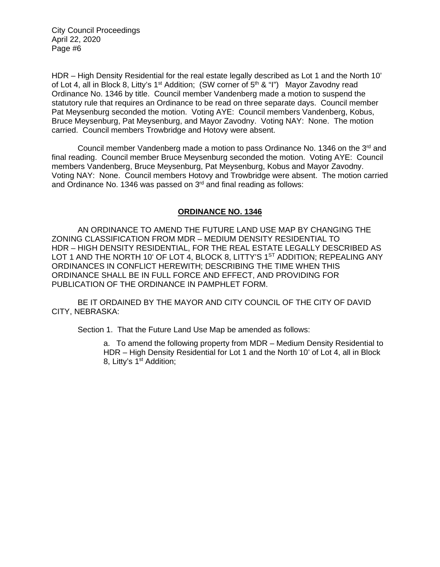HDR – High Density Residential for the real estate legally described as Lot 1 and the North 10' of Lot 4, all in Block 8, Litty's 1<sup>st</sup> Addition; (SW corner of  $5<sup>th</sup>$  & "I") Mayor Zavodny read Ordinance No. 1346 by title. Council member Vandenberg made a motion to suspend the statutory rule that requires an Ordinance to be read on three separate days. Council member Pat Meysenburg seconded the motion. Voting AYE: Council members Vandenberg, Kobus, Bruce Meysenburg, Pat Meysenburg, and Mayor Zavodny. Voting NAY: None. The motion carried. Council members Trowbridge and Hotovy were absent.

Council member Vandenberg made a motion to pass Ordinance No. 1346 on the 3rd and final reading. Council member Bruce Meysenburg seconded the motion. Voting AYE: Council members Vandenberg, Bruce Meysenburg, Pat Meysenburg, Kobus and Mayor Zavodny. Voting NAY: None. Council members Hotovy and Trowbridge were absent. The motion carried and Ordinance No. 1346 was passed on  $3<sup>rd</sup>$  and final reading as follows:

# **ORDINANCE NO. 1346**

AN ORDINANCE TO AMEND THE FUTURE LAND USE MAP BY CHANGING THE ZONING CLASSIFICATION FROM MDR – MEDIUM DENSITY RESIDENTIAL TO HDR – HIGH DENSITY RESIDENTIAL, FOR THE REAL ESTATE LEGALLY DESCRIBED AS LOT 1 AND THE NORTH 10' OF LOT 4, BLOCK 8, LITTY'S 1<sup>ST</sup> ADDITION; REPEALING ANY ORDINANCES IN CONFLICT HEREWITH; DESCRIBING THE TIME WHEN THIS ORDINANCE SHALL BE IN FULL FORCE AND EFFECT, AND PROVIDING FOR PUBLICATION OF THE ORDINANCE IN PAMPHLET FORM.

BE IT ORDAINED BY THE MAYOR AND CITY COUNCIL OF THE CITY OF DAVID CITY, NEBRASKA:

Section 1. That the Future Land Use Map be amended as follows:

a. To amend the following property from MDR – Medium Density Residential to HDR – High Density Residential for Lot 1 and the North 10' of Lot 4, all in Block 8, Litty's 1<sup>st</sup> Addition;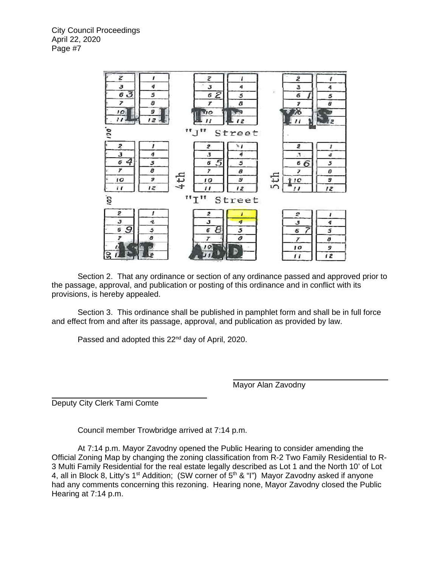

Section 2. That any ordinance or section of any ordinance passed and approved prior to the passage, approval, and publication or posting of this ordinance and in conflict with its provisions, is hereby appealed.

 Section 3. This ordinance shall be published in pamphlet form and shall be in full force and effect from and after its passage, approval, and publication as provided by law.

Passed and adopted this 22<sup>nd</sup> day of April, 2020.

Mayor Alan Zavodny

Deputy City Clerk Tami Comte

Council member Trowbridge arrived at 7:14 p.m.

At 7:14 p.m. Mayor Zavodny opened the Public Hearing to consider amending the Official Zoning Map by changing the zoning classification from R-2 Two Family Residential to R-3 Multi Family Residential for the real estate legally described as Lot 1 and the North 10' of Lot 4, all in Block 8, Litty's 1<sup>st</sup> Addition; (SW corner of  $5<sup>th</sup>$  & "I") Mayor Zavodny asked if anyone had any comments concerning this rezoning. Hearing none, Mayor Zavodny closed the Public Hearing at 7:14 p.m.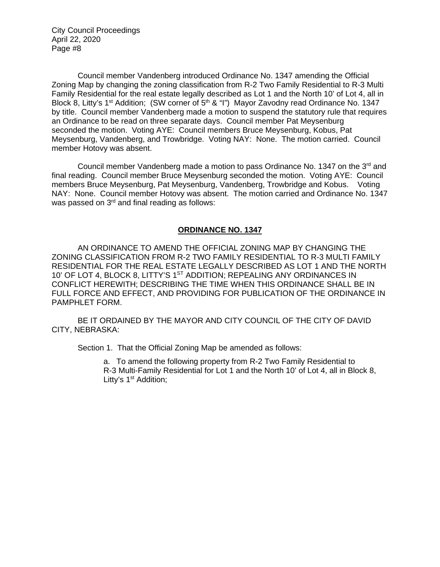Council member Vandenberg introduced Ordinance No. 1347 amending the Official Zoning Map by changing the zoning classification from R-2 Two Family Residential to R-3 Multi Family Residential for the real estate legally described as Lot 1 and the North 10' of Lot 4, all in Block 8, Litty's 1<sup>st</sup> Addition; (SW corner of  $5<sup>th</sup>$  & "I") Mayor Zavodny read Ordinance No. 1347 by title. Council member Vandenberg made a motion to suspend the statutory rule that requires an Ordinance to be read on three separate days. Council member Pat Meysenburg seconded the motion. Voting AYE: Council members Bruce Meysenburg, Kobus, Pat Meysenburg, Vandenberg, and Trowbridge. Voting NAY: None. The motion carried. Council member Hotovy was absent.

Council member Vandenberg made a motion to pass Ordinance No. 1347 on the  $3<sup>rd</sup>$  and final reading. Council member Bruce Meysenburg seconded the motion. Voting AYE: Council members Bruce Meysenburg, Pat Meysenburg, Vandenberg, Trowbridge and Kobus. Voting NAY: None. Council member Hotovy was absent. The motion carried and Ordinance No. 1347 was passed on 3<sup>rd</sup> and final reading as follows:

# **ORDINANCE NO. 1347**

AN ORDINANCE TO AMEND THE OFFICIAL ZONING MAP BY CHANGING THE ZONING CLASSIFICATION FROM R-2 TWO FAMILY RESIDENTIAL TO R-3 MULTI FAMILY RESIDENTIAL FOR THE REAL ESTATE LEGALLY DESCRIBED AS LOT 1 AND THE NORTH 10' OF LOT 4, BLOCK 8, LITTY'S 1<sup>ST</sup> ADDITION; REPEALING ANY ORDINANCES IN CONFLICT HEREWITH; DESCRIBING THE TIME WHEN THIS ORDINANCE SHALL BE IN FULL FORCE AND EFFECT, AND PROVIDING FOR PUBLICATION OF THE ORDINANCE IN PAMPHLET FORM.

BE IT ORDAINED BY THE MAYOR AND CITY COUNCIL OF THE CITY OF DAVID CITY, NEBRASKA:

Section 1. That the Official Zoning Map be amended as follows:

a. To amend the following property from R-2 Two Family Residential to R-3 Multi-Family Residential for Lot 1 and the North 10' of Lot 4, all in Block 8, Litty's 1<sup>st</sup> Addition;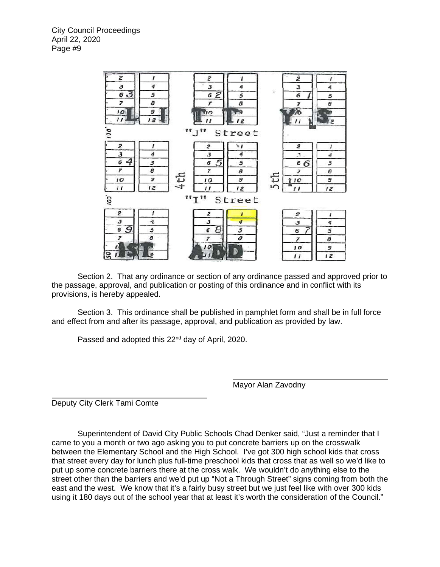

Section 2. That any ordinance or section of any ordinance passed and approved prior to the passage, approval, and publication or posting of this ordinance and in conflict with its provisions, is hereby appealed.

 Section 3. This ordinance shall be published in pamphlet form and shall be in full force and effect from and after its passage, approval, and publication as provided by law.

Passed and adopted this 22<sup>nd</sup> day of April, 2020.

Mayor Alan Zavodny

Deputy City Clerk Tami Comte

Superintendent of David City Public Schools Chad Denker said, "Just a reminder that I came to you a month or two ago asking you to put concrete barriers up on the crosswalk between the Elementary School and the High School. I've got 300 high school kids that cross that street every day for lunch plus full-time preschool kids that cross that as well so we'd like to put up some concrete barriers there at the cross walk. We wouldn't do anything else to the street other than the barriers and we'd put up "Not a Through Street" signs coming from both the east and the west. We know that it's a fairly busy street but we just feel like with over 300 kids using it 180 days out of the school year that at least it's worth the consideration of the Council."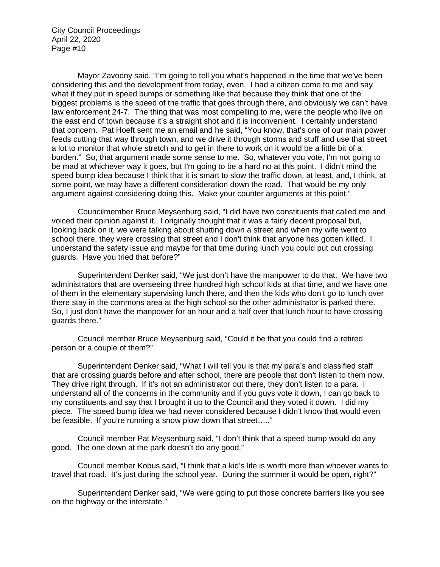Mayor Zavodny said, "I'm going to tell you what's happened in the time that we've been considering this and the development from today, even. I had a citizen come to me and say what if they put in speed bumps or something like that because they think that one of the biggest problems is the speed of the traffic that goes through there, and obviously we can't have law enforcement 24-7. The thing that was most compelling to me, were the people who live on the east end of town because it's a straight shot and it is inconvenient. I certainly understand that concern. Pat Hoeft sent me an email and he said, "You know, that's one of our main power feeds cutting that way through town, and we drive it through storms and stuff and use that street a lot to monitor that whole stretch and to get in there to work on it would be a little bit of a burden." So, that argument made some sense to me. So, whatever you vote, I'm not going to be mad at whichever way it goes, but I'm going to be a hard no at this point. I didn't mind the speed bump idea because I think that it is smart to slow the traffic down, at least, and, I think, at some point, we may have a different consideration down the road. That would be my only argument against considering doing this. Make your counter arguments at this point."

Councilmember Bruce Meysenburg said, "I did have two constituents that called me and voiced their opinion against it. I originally thought that it was a fairly decent proposal but, looking back on it, we were talking about shutting down a street and when my wife went to school there, they were crossing that street and I don't think that anyone has gotten killed. I understand the safety issue and maybe for that time during lunch you could put out crossing guards. Have you tried that before?"

Superintendent Denker said, "We just don't have the manpower to do that. We have two administrators that are overseeing three hundred high school kids at that time, and we have one of them in the elementary supervising lunch there, and then the kids who don't go to lunch over there stay in the commons area at the high school so the other administrator is parked there. So, I just don't have the manpower for an hour and a half over that lunch hour to have crossing guards there."

Council member Bruce Meysenburg said, "Could it be that you could find a retired person or a couple of them?"

Superintendent Denker said, "What I will tell you is that my para's and classified staff that are crossing guards before and after school, there are people that don't listen to them now. They drive right through. If it's not an administrator out there, they don't listen to a para. I understand all of the concerns in the community and if you guys vote it down, I can go back to my constituents and say that I brought it up to the Council and they voted it down. I did my piece. The speed bump idea we had never considered because I didn't know that would even be feasible. If you're running a snow plow down that street....."

Council member Pat Meysenburg said, "I don't think that a speed bump would do any good. The one down at the park doesn't do any good."

Council member Kobus said, "I think that a kid's life is worth more than whoever wants to travel that road. It's just during the school year. During the summer it would be open, right?"

Superintendent Denker said, "We were going to put those concrete barriers like you see on the highway or the interstate."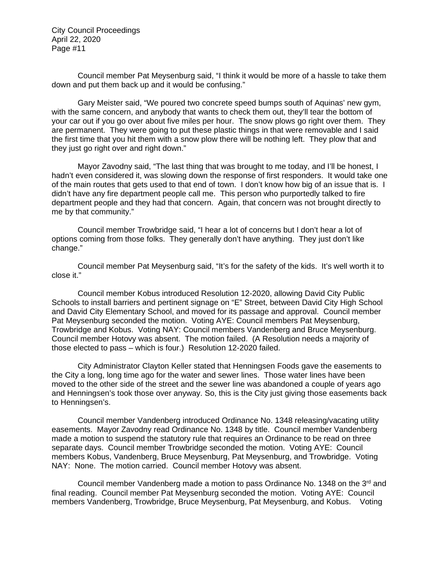Council member Pat Meysenburg said, "I think it would be more of a hassle to take them down and put them back up and it would be confusing."

Gary Meister said, "We poured two concrete speed bumps south of Aquinas' new gym, with the same concern, and anybody that wants to check them out, they'll tear the bottom of your car out if you go over about five miles per hour. The snow plows go right over them. They are permanent. They were going to put these plastic things in that were removable and I said the first time that you hit them with a snow plow there will be nothing left. They plow that and they just go right over and right down."

Mayor Zavodny said, "The last thing that was brought to me today, and I'll be honest, I hadn't even considered it, was slowing down the response of first responders. It would take one of the main routes that gets used to that end of town. I don't know how big of an issue that is. I didn't have any fire department people call me. This person who purportedly talked to fire department people and they had that concern. Again, that concern was not brought directly to me by that community."

Council member Trowbridge said, "I hear a lot of concerns but I don't hear a lot of options coming from those folks. They generally don't have anything. They just don't like change."

Council member Pat Meysenburg said, "It's for the safety of the kids. It's well worth it to close it."

Council member Kobus introduced Resolution 12-2020, allowing David City Public Schools to install barriers and pertinent signage on "E" Street, between David City High School and David City Elementary School, and moved for its passage and approval. Council member Pat Meysenburg seconded the motion. Voting AYE: Council members Pat Meysenburg, Trowbridge and Kobus. Voting NAY: Council members Vandenberg and Bruce Meysenburg. Council member Hotovy was absent. The motion failed. (A Resolution needs a majority of those elected to pass – which is four.) Resolution 12-2020 failed.

City Administrator Clayton Keller stated that Henningsen Foods gave the easements to the City a long, long time ago for the water and sewer lines. Those water lines have been moved to the other side of the street and the sewer line was abandoned a couple of years ago and Henningsen's took those over anyway. So, this is the City just giving those easements back to Henningsen's.

Council member Vandenberg introduced Ordinance No. 1348 releasing/vacating utility easements. Mayor Zavodny read Ordinance No. 1348 by title. Council member Vandenberg made a motion to suspend the statutory rule that requires an Ordinance to be read on three separate days. Council member Trowbridge seconded the motion. Voting AYE: Council members Kobus, Vandenberg, Bruce Meysenburg, Pat Meysenburg, and Trowbridge. Voting NAY: None. The motion carried. Council member Hotovy was absent.

Council member Vandenberg made a motion to pass Ordinance No. 1348 on the 3rd and final reading. Council member Pat Meysenburg seconded the motion. Voting AYE: Council members Vandenberg, Trowbridge, Bruce Meysenburg, Pat Meysenburg, and Kobus. Voting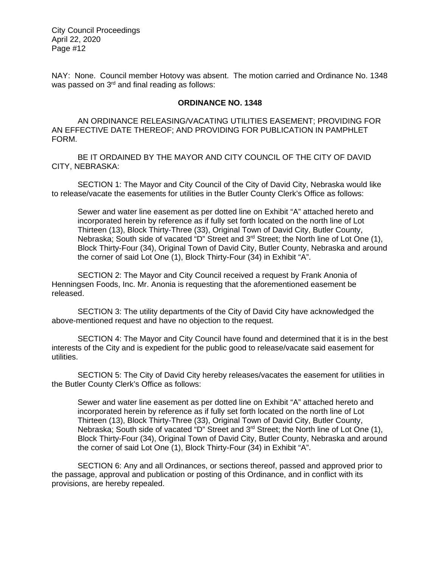NAY: None. Council member Hotovy was absent. The motion carried and Ordinance No. 1348 was passed on 3<sup>rd</sup> and final reading as follows:

## **ORDINANCE NO. 1348**

AN ORDINANCE RELEASING/VACATING UTILITIES EASEMENT; PROVIDING FOR AN EFFECTIVE DATE THEREOF; AND PROVIDING FOR PUBLICATION IN PAMPHLET FORM.

BE IT ORDAINED BY THE MAYOR AND CITY COUNCIL OF THE CITY OF DAVID CITY, NEBRASKA:

SECTION 1: The Mayor and City Council of the City of David City, Nebraska would like to release/vacate the easements for utilities in the Butler County Clerk's Office as follows:

Sewer and water line easement as per dotted line on Exhibit "A" attached hereto and incorporated herein by reference as if fully set forth located on the north line of Lot Thirteen (13), Block Thirty-Three (33), Original Town of David City, Butler County, Nebraska; South side of vacated "D" Street and 3<sup>rd</sup> Street; the North line of Lot One (1), Block Thirty-Four (34), Original Town of David City, Butler County, Nebraska and around the corner of said Lot One (1), Block Thirty-Four (34) in Exhibit "A".

SECTION 2: The Mayor and City Council received a request by Frank Anonia of Henningsen Foods, Inc. Mr. Anonia is requesting that the aforementioned easement be released.

SECTION 3: The utility departments of the City of David City have acknowledged the above-mentioned request and have no objection to the request.

SECTION 4: The Mayor and City Council have found and determined that it is in the best interests of the City and is expedient for the public good to release/vacate said easement for utilities.

SECTION 5: The City of David City hereby releases/vacates the easement for utilities in the Butler County Clerk's Office as follows:

Sewer and water line easement as per dotted line on Exhibit "A" attached hereto and incorporated herein by reference as if fully set forth located on the north line of Lot Thirteen (13), Block Thirty-Three (33), Original Town of David City, Butler County, Nebraska; South side of vacated "D" Street and 3<sup>rd</sup> Street; the North line of Lot One (1), Block Thirty-Four (34), Original Town of David City, Butler County, Nebraska and around the corner of said Lot One (1), Block Thirty-Four (34) in Exhibit "A".

SECTION 6: Any and all Ordinances, or sections thereof, passed and approved prior to the passage, approval and publication or posting of this Ordinance, and in conflict with its provisions, are hereby repealed.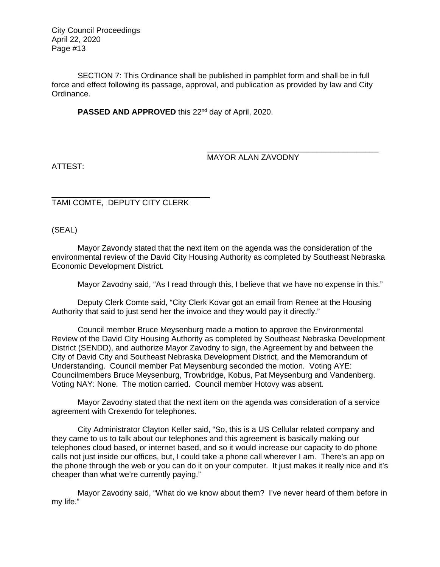SECTION 7: This Ordinance shall be published in pamphlet form and shall be in full force and effect following its passage, approval, and publication as provided by law and City Ordinance.

PASSED AND APPROVED this 22<sup>nd</sup> day of April, 2020.

# MAYOR ALAN ZAVODNY

\_\_\_\_\_\_\_\_\_\_\_\_\_\_\_\_\_\_\_\_\_\_\_\_\_\_\_\_\_\_\_\_\_\_\_\_\_\_\_

ATTEST:

\_\_\_\_\_\_\_\_\_\_\_\_\_\_\_\_\_\_\_\_\_\_\_\_\_\_\_\_\_\_\_\_\_\_\_\_ TAMI COMTE, DEPUTY CITY CLERK

(SEAL)

Mayor Zavondy stated that the next item on the agenda was the consideration of the environmental review of the David City Housing Authority as completed by Southeast Nebraska Economic Development District.

Mayor Zavodny said, "As I read through this, I believe that we have no expense in this."

Deputy Clerk Comte said, "City Clerk Kovar got an email from Renee at the Housing Authority that said to just send her the invoice and they would pay it directly."

Council member Bruce Meysenburg made a motion to approve the Environmental Review of the David City Housing Authority as completed by Southeast Nebraska Development District (SENDD), and authorize Mayor Zavodny to sign, the Agreement by and between the City of David City and Southeast Nebraska Development District, and the Memorandum of Understanding. Council member Pat Meysenburg seconded the motion. Voting AYE: Councilmembers Bruce Meysenburg, Trowbridge, Kobus, Pat Meysenburg and Vandenberg. Voting NAY: None. The motion carried. Council member Hotovy was absent.

Mayor Zavodny stated that the next item on the agenda was consideration of a service agreement with Crexendo for telephones.

City Administrator Clayton Keller said, "So, this is a US Cellular related company and they came to us to talk about our telephones and this agreement is basically making our telephones cloud based, or internet based, and so it would increase our capacity to do phone calls not just inside our offices, but, I could take a phone call wherever I am. There's an app on the phone through the web or you can do it on your computer. It just makes it really nice and it's cheaper than what we're currently paying."

Mayor Zavodny said, "What do we know about them? I've never heard of them before in my life."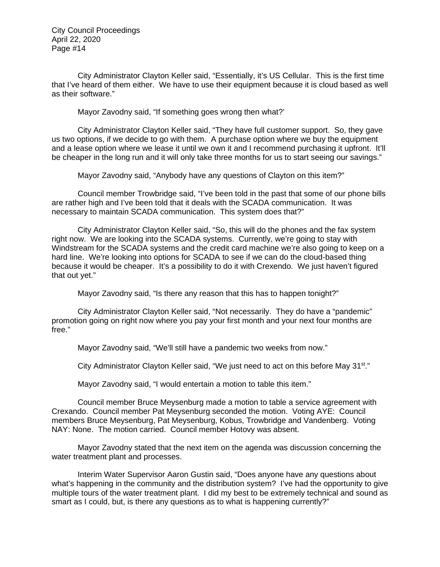City Administrator Clayton Keller said, "Essentially, it's US Cellular. This is the first time that I've heard of them either. We have to use their equipment because it is cloud based as well as their software."

Mayor Zavodny said, "If something goes wrong then what?'

City Administrator Clayton Keller said, "They have full customer support. So, they gave us two options, if we decide to go with them. A purchase option where we buy the equipment and a lease option where we lease it until we own it and I recommend purchasing it upfront. It'll be cheaper in the long run and it will only take three months for us to start seeing our savings."

Mayor Zavodny said, "Anybody have any questions of Clayton on this item?"

Council member Trowbridge said, "I've been told in the past that some of our phone bills are rather high and I've been told that it deals with the SCADA communication. It was necessary to maintain SCADA communication. This system does that?"

City Administrator Clayton Keller said, "So, this will do the phones and the fax system right now. We are looking into the SCADA systems. Currently, we're going to stay with Windstream for the SCADA systems and the credit card machine we're also going to keep on a hard line. We're looking into options for SCADA to see if we can do the cloud-based thing because it would be cheaper. It's a possibility to do it with Crexendo. We just haven't figured that out yet."

Mayor Zavodny said, "Is there any reason that this has to happen tonight?"

City Administrator Clayton Keller said, "Not necessarily. They do have a "pandemic" promotion going on right now where you pay your first month and your next four months are free."

Mayor Zavodny said, "We'll still have a pandemic two weeks from now."

City Administrator Clayton Keller said, "We just need to act on this before May  $31<sup>st</sup>$ ."

Mayor Zavodny said, "I would entertain a motion to table this item."

Council member Bruce Meysenburg made a motion to table a service agreement with Crexando. Council member Pat Meysenburg seconded the motion. Voting AYE: Council members Bruce Meysenburg, Pat Meysenburg, Kobus, Trowbridge and Vandenberg. Voting NAY: None. The motion carried. Council member Hotovy was absent.

Mayor Zavodny stated that the next item on the agenda was discussion concerning the water treatment plant and processes.

Interim Water Supervisor Aaron Gustin said, "Does anyone have any questions about what's happening in the community and the distribution system? I've had the opportunity to give multiple tours of the water treatment plant. I did my best to be extremely technical and sound as smart as I could, but, is there any questions as to what is happening currently?"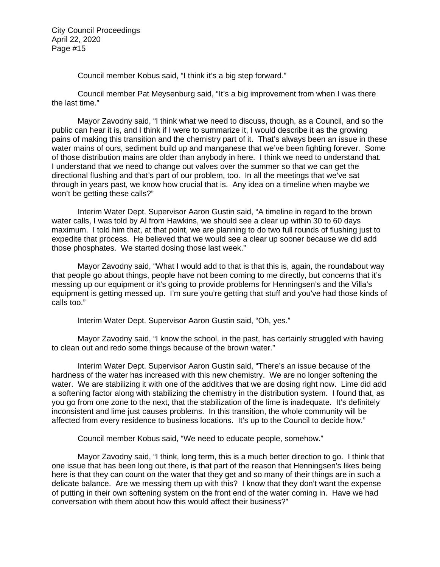Council member Kobus said, "I think it's a big step forward."

Council member Pat Meysenburg said, "It's a big improvement from when I was there the last time."

Mayor Zavodny said, "I think what we need to discuss, though, as a Council, and so the public can hear it is, and I think if I were to summarize it, I would describe it as the growing pains of making this transition and the chemistry part of it. That's always been an issue in these water mains of ours, sediment build up and manganese that we've been fighting forever. Some of those distribution mains are older than anybody in here. I think we need to understand that. I understand that we need to change out valves over the summer so that we can get the directional flushing and that's part of our problem, too. In all the meetings that we've sat through in years past, we know how crucial that is. Any idea on a timeline when maybe we won't be getting these calls?"

Interim Water Dept. Supervisor Aaron Gustin said, "A timeline in regard to the brown water calls, I was told by Al from Hawkins, we should see a clear up within 30 to 60 days maximum. I told him that, at that point, we are planning to do two full rounds of flushing just to expedite that process. He believed that we would see a clear up sooner because we did add those phosphates. We started dosing those last week."

Mayor Zavodny said, "What I would add to that is that this is, again, the roundabout way that people go about things, people have not been coming to me directly, but concerns that it's messing up our equipment or it's going to provide problems for Henningsen's and the Villa's equipment is getting messed up. I'm sure you're getting that stuff and you've had those kinds of calls too."

Interim Water Dept. Supervisor Aaron Gustin said, "Oh, yes."

Mayor Zavodny said, "I know the school, in the past, has certainly struggled with having to clean out and redo some things because of the brown water."

Interim Water Dept. Supervisor Aaron Gustin said, "There's an issue because of the hardness of the water has increased with this new chemistry. We are no longer softening the water. We are stabilizing it with one of the additives that we are dosing right now. Lime did add a softening factor along with stabilizing the chemistry in the distribution system. I found that, as you go from one zone to the next, that the stabilization of the lime is inadequate. It's definitely inconsistent and lime just causes problems. In this transition, the whole community will be affected from every residence to business locations. It's up to the Council to decide how."

Council member Kobus said, "We need to educate people, somehow."

Mayor Zavodny said, "I think, long term, this is a much better direction to go. I think that one issue that has been long out there, is that part of the reason that Henningsen's likes being here is that they can count on the water that they get and so many of their things are in such a delicate balance. Are we messing them up with this? I know that they don't want the expense of putting in their own softening system on the front end of the water coming in. Have we had conversation with them about how this would affect their business?"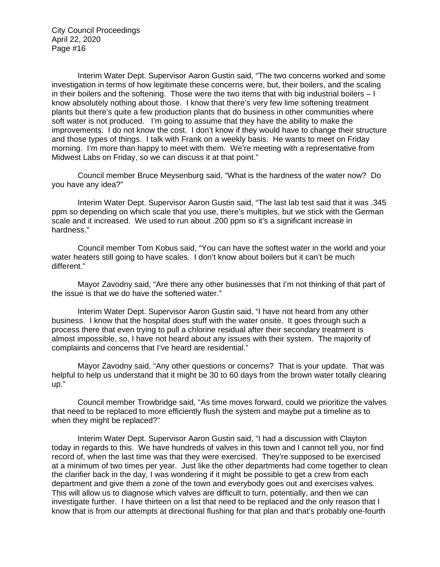Interim Water Dept. Supervisor Aaron Gustin said, "The two concerns worked and some investigation in terms of how legitimate these concerns were, but, their boilers, and the scaling in their boilers and the softening. Those were the two items that with big industrial boilers – I know absolutely nothing about those. I know that there's very few lime softening treatment plants but there's quite a few production plants that do business in other communities where soft water is not produced. I'm going to assume that they have the ability to make the improvements. I do not know the cost. I don't know if they would have to change their structure and those types of things. I talk with Frank on a weekly basis. He wants to meet on Friday morning. I'm more than happy to meet with them. We're meeting with a representative from Midwest Labs on Friday, so we can discuss it at that point."

Council member Bruce Meysenburg said, "What is the hardness of the water now? Do you have any idea?"

Interim Water Dept. Supervisor Aaron Gustin said, "The last lab test said that it was .345 ppm so depending on which scale that you use, there's multiples, but we stick with the German scale and it increased. We used to run about .200 ppm so it's a significant increase in hardness."

Council member Tom Kobus said, "You can have the softest water in the world and your water heaters still going to have scales. I don't know about boilers but it can't be much different."

Mayor Zavodny said, "Are there any other businesses that I'm not thinking of that part of the issue is that we do have the softened water."

Interim Water Dept. Supervisor Aaron Gustin said, "I have not heard from any other business. I know that the hospital does stuff with the water onsite. It goes through such a process there that even trying to pull a chlorine residual after their secondary treatment is almost impossible, so, I have not heard about any issues with their system. The majority of complaints and concerns that I've heard are residential."

Mayor Zavodny said, "Any other questions or concerns? That is your update. That was helpful to help us understand that it might be 30 to 60 days from the brown water totally clearing up."

Council member Trowbridge said, "As time moves forward, could we prioritize the valves that need to be replaced to more efficiently flush the system and maybe put a timeline as to when they might be replaced?"

Interim Water Dept. Supervisor Aaron Gustin said, "I had a discussion with Clayton today in regards to this. We have hundreds of valves in this town and I cannot tell you, nor find record of, when the last time was that they were exercised. They're supposed to be exercised at a minimum of two times per year. Just like the other departments had come together to clean the clarifier back in the day, I was wondering if it might be possible to get a crew from each department and give them a zone of the town and everybody goes out and exercises valves. This will allow us to diagnose which valves are difficult to turn, potentially, and then we can investigate further. I have thirteen on a list that need to be replaced and the only reason that I know that is from our attempts at directional flushing for that plan and that's probably one-fourth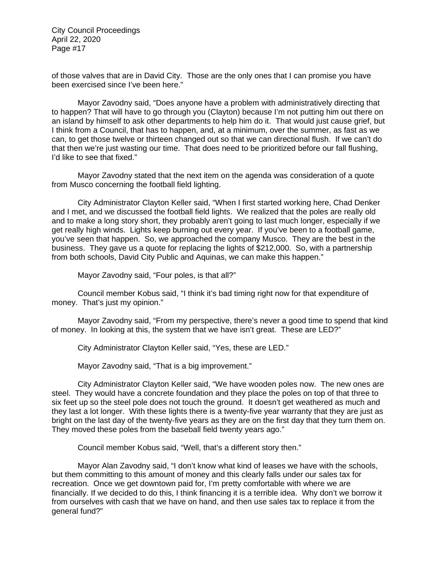of those valves that are in David City. Those are the only ones that I can promise you have been exercised since I've been here."

Mayor Zavodny said, "Does anyone have a problem with administratively directing that to happen? That will have to go through you (Clayton) because I'm not putting him out there on an island by himself to ask other departments to help him do it. That would just cause grief, but I think from a Council, that has to happen, and, at a minimum, over the summer, as fast as we can, to get those twelve or thirteen changed out so that we can directional flush. If we can't do that then we're just wasting our time. That does need to be prioritized before our fall flushing, I'd like to see that fixed."

Mayor Zavodny stated that the next item on the agenda was consideration of a quote from Musco concerning the football field lighting.

City Administrator Clayton Keller said, "When I first started working here, Chad Denker and I met, and we discussed the football field lights. We realized that the poles are really old and to make a long story short, they probably aren't going to last much longer, especially if we get really high winds. Lights keep burning out every year. If you've been to a football game, you've seen that happen. So, we approached the company Musco. They are the best in the business. They gave us a quote for replacing the lights of \$212,000. So, with a partnership from both schools, David City Public and Aquinas, we can make this happen."

Mayor Zavodny said, "Four poles, is that all?"

Council member Kobus said, "I think it's bad timing right now for that expenditure of money. That's just my opinion."

Mayor Zavodny said, "From my perspective, there's never a good time to spend that kind of money. In looking at this, the system that we have isn't great. These are LED?"

City Administrator Clayton Keller said, "Yes, these are LED."

Mayor Zavodny said, "That is a big improvement."

City Administrator Clayton Keller said, "We have wooden poles now. The new ones are steel. They would have a concrete foundation and they place the poles on top of that three to six feet up so the steel pole does not touch the ground. It doesn't get weathered as much and they last a lot longer. With these lights there is a twenty-five year warranty that they are just as bright on the last day of the twenty-five years as they are on the first day that they turn them on. They moved these poles from the baseball field twenty years ago."

Council member Kobus said, "Well, that's a different story then."

Mayor Alan Zavodny said, "I don't know what kind of leases we have with the schools, but them committing to this amount of money and this clearly falls under our sales tax for recreation. Once we get downtown paid for, I'm pretty comfortable with where we are financially. If we decided to do this, I think financing it is a terrible idea. Why don't we borrow it from ourselves with cash that we have on hand, and then use sales tax to replace it from the general fund?"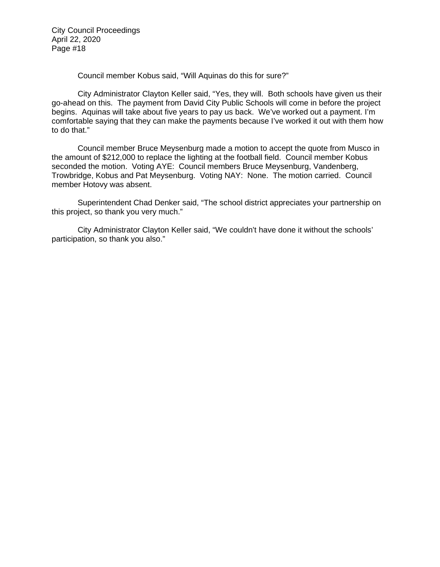Council member Kobus said, "Will Aquinas do this for sure?"

City Administrator Clayton Keller said, "Yes, they will. Both schools have given us their go-ahead on this. The payment from David City Public Schools will come in before the project begins. Aquinas will take about five years to pay us back. We've worked out a payment. I'm comfortable saying that they can make the payments because I've worked it out with them how to do that."

Council member Bruce Meysenburg made a motion to accept the quote from Musco in the amount of \$212,000 to replace the lighting at the football field. Council member Kobus seconded the motion. Voting AYE: Council members Bruce Meysenburg, Vandenberg, Trowbridge, Kobus and Pat Meysenburg. Voting NAY: None. The motion carried. Council member Hotovy was absent.

Superintendent Chad Denker said, "The school district appreciates your partnership on this project, so thank you very much."

City Administrator Clayton Keller said, "We couldn't have done it without the schools' participation, so thank you also."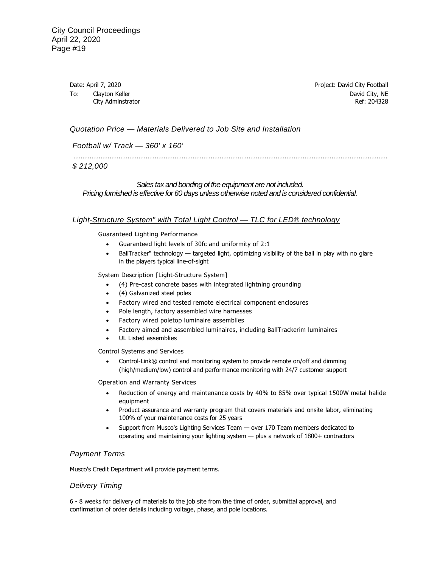Date: April 7, 2020 **Project: David City Football** To: Clayton Keller **David City, NE** City Adminstrator **Ref: 204328** 

#### *Quotation Price — Materials Delivered to Job Site and Installation*

*Football w/ Track — 360' x 160'* 

 *............................................................................................................................................* 

## *\$ 212,000*

### *Sales tax and bonding of the equipment are not included. Pricing furnished is effective for 60 days unless otherwise noted and is considered confidential.*

#### *Light-Structure System" with Total Light Control — TLC for LED® technology*

Guaranteed Lighting Performance

- Guaranteed light levels of 30fc and uniformity of 2:1
- BallTracker" technology targeted light, optimizing visibility of the ball in play with no glare in the players typical line-of-sight

System Description [Light-Structure System]

- (4) Pre-cast concrete bases with integrated lightning grounding
- (4) Galvanized steel poles
- Factory wired and tested remote electrical component enclosures
- Pole length, factory assembled wire harnesses
- Factory wired poletop luminaire assemblies
- Factory aimed and assembled luminaires, including BallTrackerim luminaires
- UL Listed assemblies

Control Systems and Services

• Control-Link® control and monitoring system to provide remote on/off and dimming (high/medium/low) control and performance monitoring with 24/7 customer support

Operation and Warranty Services

- Reduction of energy and maintenance costs by 40% to 85% over typical 1500W metal halide equipment
- Product assurance and warranty program that covers materials and onsite labor, eliminating 100% of your maintenance costs for 25 years
- Support from Musco's Lighting Services Team over 170 Team members dedicated to operating and maintaining your lighting system — plus a network of 1800+ contractors

#### *Payment Terms*

Musco's Credit Department will provide payment terms.

#### *Delivery Timing*

6 - 8 weeks for delivery of materials to the job site from the time of order, submittal approval, and confirmation of order details including voltage, phase, and pole locations.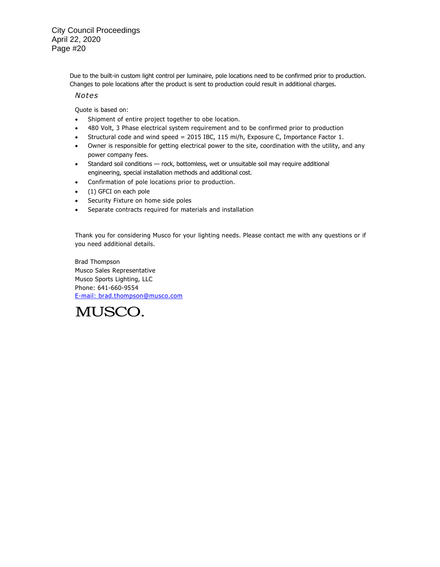> Due to the built-in custom light control per luminaire, pole locations need to be confirmed prior to production. Changes to pole locations after the product is sent to production could result in additional charges.

#### *Notes*

Quote is based on:

- Shipment of entire project together to obe location.
- 480 Volt, 3 Phase electrical system requirement and to be confirmed prior to production
- Structural code and wind speed = 2015 IBC, 115 mi/h, Exposure C, Importance Factor 1.
- Owner is responsible for getting electrical power to the site, coordination with the utility, and any power company fees.
- Standard soil conditions rock, bottomless, wet or unsuitable soil may require additional engineering, special installation methods and additional cost.
- Confirmation of pole locations prior to production.
- (1) GFCI on each pole
- Security Fixture on home side poles
- Separate contracts required for materials and installation

Thank you for considering Musco for your lighting needs. Please contact me with any questions or if you need additional details.

Brad Thompson Musco Sales Representative Musco Sports Lighting, LLC Phone: 641-660-9554 [E-mail: brad.thompson@musco.com](mailto:brad.thompson@musco.com) 

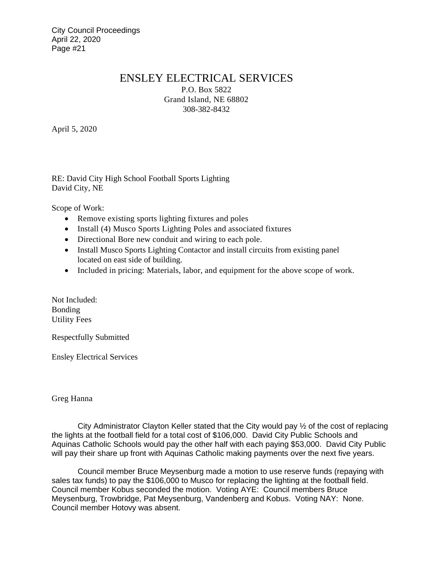# ENSLEY ELECTRICAL SERVICES

P.O. Box 5822 Grand Island, NE 68802 308-382-8432

April 5, 2020

RE: David City High School Football Sports Lighting David City, NE

Scope of Work:

- Remove existing sports lighting fixtures and poles
- Install (4) Musco Sports Lighting Poles and associated fixtures
- Directional Bore new conduit and wiring to each pole.
- Install Musco Sports Lighting Contactor and install circuits from existing panel located on east side of building.
- Included in pricing: Materials, labor, and equipment for the above scope of work.

Not Included: Bonding Utility Fees

Respectfully Submitted

Ensley Electrical Services

Greg Hanna

City Administrator Clayton Keller stated that the City would pay ½ of the cost of replacing the lights at the football field for a total cost of \$106,000. David City Public Schools and Aquinas Catholic Schools would pay the other half with each paying \$53,000. David City Public will pay their share up front with Aquinas Catholic making payments over the next five years.

Council member Bruce Meysenburg made a motion to use reserve funds (repaying with sales tax funds) to pay the \$106,000 to Musco for replacing the lighting at the football field. Council member Kobus seconded the motion. Voting AYE: Council members Bruce Meysenburg, Trowbridge, Pat Meysenburg, Vandenberg and Kobus. Voting NAY: None. Council member Hotovy was absent.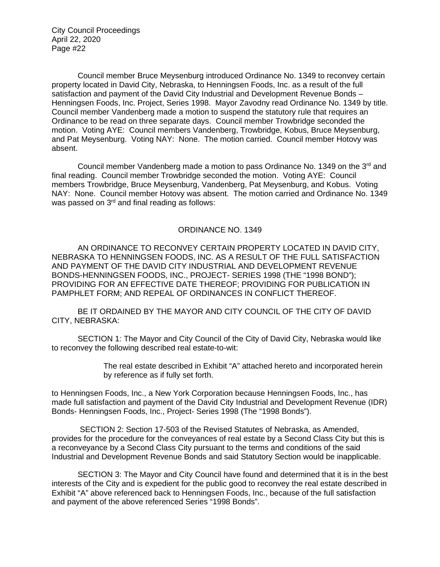Council member Bruce Meysenburg introduced Ordinance No. 1349 to reconvey certain property located in David City, Nebraska, to Henningsen Foods, Inc. as a result of the full satisfaction and payment of the David City Industrial and Development Revenue Bonds – Henningsen Foods, Inc. Project, Series 1998. Mayor Zavodny read Ordinance No. 1349 by title. Council member Vandenberg made a motion to suspend the statutory rule that requires an Ordinance to be read on three separate days. Council member Trowbridge seconded the motion. Voting AYE: Council members Vandenberg, Trowbridge, Kobus, Bruce Meysenburg, and Pat Meysenburg. Voting NAY: None. The motion carried. Council member Hotovy was absent.

Council member Vandenberg made a motion to pass Ordinance No. 1349 on the 3<sup>rd</sup> and final reading. Council member Trowbridge seconded the motion. Voting AYE: Council members Trowbridge, Bruce Meysenburg, Vandenberg, Pat Meysenburg, and Kobus. Voting NAY: None. Council member Hotovy was absent. The motion carried and Ordinance No. 1349 was passed on 3<sup>rd</sup> and final reading as follows:

# ORDINANCE NO. 1349

AN ORDINANCE TO RECONVEY CERTAIN PROPERTY LOCATED IN DAVID CITY, NEBRASKA TO HENNINGSEN FOODS, INC. AS A RESULT OF THE FULL SATISFACTION AND PAYMENT OF THE DAVID CITY INDUSTRIAL AND DEVELOPMENT REVENUE BONDS-HENNINGSEN FOODS, INC., PROJECT- SERIES 1998 (THE "1998 BOND"); PROVIDING FOR AN EFFECTIVE DATE THEREOF; PROVIDING FOR PUBLICATION IN PAMPHLET FORM; AND REPEAL OF ORDINANCES IN CONFLICT THEREOF.

BE IT ORDAINED BY THE MAYOR AND CITY COUNCIL OF THE CITY OF DAVID CITY, NEBRASKA:

SECTION 1: The Mayor and City Council of the City of David City, Nebraska would like to reconvey the following described real estate-to-wit:

> The real estate described in Exhibit "A" attached hereto and incorporated herein by reference as if fully set forth.

to Henningsen Foods, Inc., a New York Corporation because Henningsen Foods, Inc., has made full satisfaction and payment of the David City Industrial and Development Revenue (IDR) Bonds- Henningsen Foods, Inc., Project- Series 1998 (The "1998 Bonds").

 SECTION 2: Section 17-503 of the Revised Statutes of Nebraska, as Amended, provides for the procedure for the conveyances of real estate by a Second Class City but this is a reconveyance by a Second Class City pursuant to the terms and conditions of the said Industrial and Development Revenue Bonds and said Statutory Section would be inapplicable.

SECTION 3: The Mayor and City Council have found and determined that it is in the best interests of the City and is expedient for the public good to reconvey the real estate described in Exhibit "A" above referenced back to Henningsen Foods, Inc., because of the full satisfaction and payment of the above referenced Series "1998 Bonds".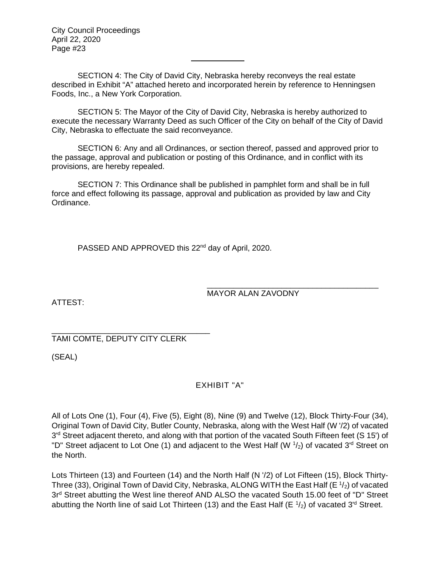SECTION 4: The City of David City, Nebraska hereby reconveys the real estate described in Exhibit "A" attached hereto and incorporated herein by reference to Henningsen Foods, Inc., a New York Corporation.

SECTION 5: The Mayor of the City of David City, Nebraska is hereby authorized to execute the necessary Warranty Deed as such Officer of the City on behalf of the City of David City, Nebraska to effectuate the said reconveyance.

SECTION 6: Any and all Ordinances, or section thereof, passed and approved prior to the passage, approval and publication or posting of this Ordinance, and in conflict with its provisions, are hereby repealed.

SECTION 7: This Ordinance shall be published in pamphlet form and shall be in full force and effect following its passage, approval and publication as provided by law and City Ordinance.

PASSED AND APPROVED this 22<sup>nd</sup> day of April, 2020.

\_\_\_\_\_\_\_\_\_\_\_\_\_\_\_\_\_\_\_\_\_\_\_\_\_\_\_\_\_\_\_\_\_\_\_\_\_\_\_ MAYOR ALAN ZAVODNY

ATTEST:

\_\_\_\_\_\_\_\_\_\_\_\_\_\_\_\_\_\_\_\_\_\_\_\_\_\_\_\_\_\_\_\_\_\_\_\_ TAMI COMTE, DEPUTY CITY CLERK

(SEAL)

EXHIBIT "A"

All of Lots One (1), Four (4), Five (5), Eight (8), Nine (9) and Twelve (12), Block Thirty-Four (34), Original Town of David City, Butler County, Nebraska, along with the West Half (W '/2) of vacated 3<sup>'d</sup> Street adjacent thereto, and along with that portion of the vacated South Fifteen feet (S 15') of "D" Street adjacent to Lot One (1) and adjacent to the West Half (W  $\frac{1}{2}$ ) of vacated 3<sup>'d</sup> Street on the North.

Lots Thirteen (13) and Fourteen (14) and the North Half (N '/2) of Lot Fifteen (15), Block Thirty-Three (33), Original Town of David City, Nebraska, ALONG WITH the East Half (E  $\frac{1}{2}$ ) of vacated 3r<sup>d</sup> Street abutting the West line thereof AND ALSO the vacated South 15.00 feet of "D" Street abutting the North line of said Lot Thirteen (13) and the East Half (E  $\frac{1}{2}$ ) of vacated 3<sup>'d</sup> Street.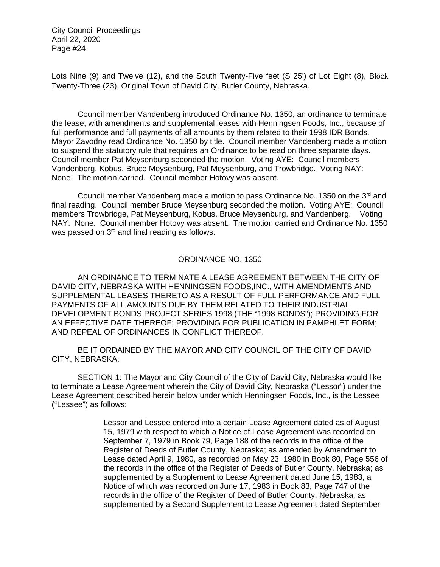Lots Nine (9) and Twelve (12), and the South Twenty-Five feet (S 25') of Lot Eight (8), Block Twenty-Three (23), Original Town of David City, Butler County, Nebraska.

Council member Vandenberg introduced Ordinance No. 1350, an ordinance to terminate the lease, with amendments and supplemental leases with Henningsen Foods, Inc., because of full performance and full payments of all amounts by them related to their 1998 IDR Bonds. Mayor Zavodny read Ordinance No. 1350 by title. Council member Vandenberg made a motion to suspend the statutory rule that requires an Ordinance to be read on three separate days. Council member Pat Meysenburg seconded the motion. Voting AYE: Council members Vandenberg, Kobus, Bruce Meysenburg, Pat Meysenburg, and Trowbridge. Voting NAY: None. The motion carried. Council member Hotovy was absent.

Council member Vandenberg made a motion to pass Ordinance No. 1350 on the 3rd and final reading. Council member Bruce Meysenburg seconded the motion. Voting AYE: Council members Trowbridge, Pat Meysenburg, Kobus, Bruce Meysenburg, and Vandenberg. Voting NAY: None. Council member Hotovy was absent. The motion carried and Ordinance No. 1350 was passed on 3<sup>rd</sup> and final reading as follows:

## ORDINANCE NO. 1350

AN ORDINANCE TO TERMINATE A LEASE AGREEMENT BETWEEN THE CITY OF DAVID CITY, NEBRASKA WITH HENNINGSEN FOODS,INC., WITH AMENDMENTS AND SUPPLEMENTAL LEASES THERETO AS A RESULT OF FULL PERFORMANCE AND FULL PAYMENTS OF ALL AMOUNTS DUE BY THEM RELATED TO THEIR INDUSTRIAL DEVELOPMENT BONDS PROJECT SERIES 1998 (THE "1998 BONDS"); PROVIDING FOR AN EFFECTIVE DATE THEREOF; PROVIDING FOR PUBLICATION IN PAMPHLET FORM; AND REPEAL OF ORDINANCES IN CONFLICT THEREOF.

BE IT ORDAINED BY THE MAYOR AND CITY COUNCIL OF THE CITY OF DAVID CITY, NEBRASKA:

SECTION 1: The Mayor and City Council of the City of David City, Nebraska would like to terminate a Lease Agreement wherein the City of David City, Nebraska ("Lessor") under the Lease Agreement described herein below under which Henningsen Foods, Inc., is the Lessee ("Lessee") as follows:

> Lessor and Lessee entered into a certain Lease Agreement dated as of August 15, 1979 with respect to which a Notice of Lease Agreement was recorded on September 7, 1979 in Book 79, Page 188 of the records in the office of the Register of Deeds of Butler County, Nebraska; as amended by Amendment to Lease dated April 9, 1980, as recorded on May 23, 1980 in Book 80, Page 556 of the records in the office of the Register of Deeds of Butler County, Nebraska; as supplemented by a Supplement to Lease Agreement dated June 15, 1983, a Notice of which was recorded on June 17, 1983 in Book 83, Page 747 of the records in the office of the Register of Deed of Butler County, Nebraska; as supplemented by a Second Supplement to Lease Agreement dated September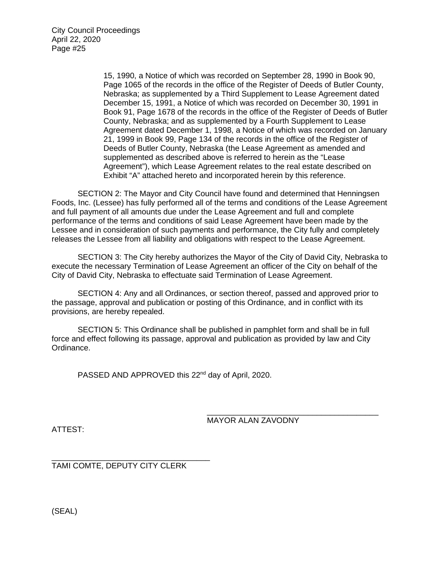15, 1990, a Notice of which was recorded on September 28, 1990 in Book 90, Page 1065 of the records in the office of the Register of Deeds of Butler County, Nebraska; as supplemented by a Third Supplement to Lease Agreement dated December 15, 1991, a Notice of which was recorded on December 30, 1991 in Book 91, Page 1678 of the records in the office of the Register of Deeds of Butler County, Nebraska; and as supplemented by a Fourth Supplement to Lease Agreement dated December 1, 1998, a Notice of which was recorded on January 21, 1999 in Book 99, Page 134 of the records in the office of the Register of Deeds of Butler County, Nebraska (the Lease Agreement as amended and supplemented as described above is referred to herein as the "Lease Agreement"), which Lease Agreement relates to the real estate described on Exhibit "A" attached hereto and incorporated herein by this reference.

SECTION 2: The Mayor and City Council have found and determined that Henningsen Foods, Inc. (Lessee) has fully performed all of the terms and conditions of the Lease Agreement and full payment of all amounts due under the Lease Agreement and full and complete performance of the terms and conditions of said Lease Agreement have been made by the Lessee and in consideration of such payments and performance, the City fully and completely releases the Lessee from all liability and obligations with respect to the Lease Agreement.

SECTION 3: The City hereby authorizes the Mayor of the City of David City, Nebraska to execute the necessary Termination of Lease Agreement an officer of the City on behalf of the City of David City, Nebraska to effectuate said Termination of Lease Agreement.

SECTION 4: Any and all Ordinances, or section thereof, passed and approved prior to the passage, approval and publication or posting of this Ordinance, and in conflict with its provisions, are hereby repealed.

SECTION 5: This Ordinance shall be published in pamphlet form and shall be in full force and effect following its passage, approval and publication as provided by law and City Ordinance.

PASSED AND APPROVED this 22<sup>nd</sup> day of April, 2020.

\_\_\_\_\_\_\_\_\_\_\_\_\_\_\_\_\_\_\_\_\_\_\_\_\_\_\_\_\_\_\_\_\_\_\_\_\_\_\_ MAYOR ALAN ZAVODNY

ATTEST:

\_\_\_\_\_\_\_\_\_\_\_\_\_\_\_\_\_\_\_\_\_\_\_\_\_\_\_\_\_\_\_\_\_\_\_\_ TAMI COMTE, DEPUTY CITY CLERK

(SEAL)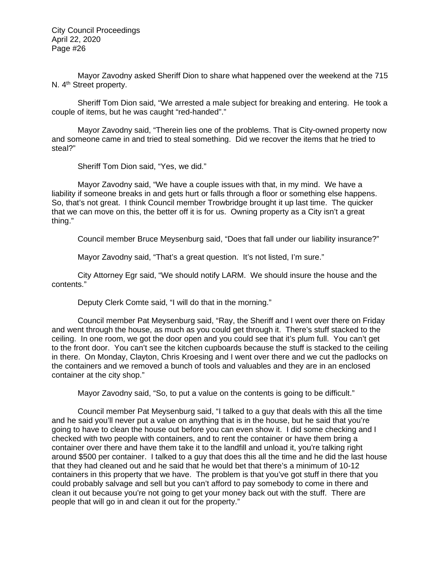Mayor Zavodny asked Sheriff Dion to share what happened over the weekend at the 715 N. 4<sup>th</sup> Street property.

Sheriff Tom Dion said, "We arrested a male subject for breaking and entering. He took a couple of items, but he was caught "red-handed"."

Mayor Zavodny said, "Therein lies one of the problems. That is City-owned property now and someone came in and tried to steal something. Did we recover the items that he tried to steal?"

Sheriff Tom Dion said, "Yes, we did."

Mayor Zavodny said, "We have a couple issues with that, in my mind. We have a liability if someone breaks in and gets hurt or falls through a floor or something else happens. So, that's not great. I think Council member Trowbridge brought it up last time. The quicker that we can move on this, the better off it is for us. Owning property as a City isn't a great thing."

Council member Bruce Meysenburg said, "Does that fall under our liability insurance?"

Mayor Zavodny said, "That's a great question. It's not listed, I'm sure."

City Attorney Egr said, "We should notify LARM. We should insure the house and the contents."

Deputy Clerk Comte said, "I will do that in the morning."

Council member Pat Meysenburg said, "Ray, the Sheriff and I went over there on Friday and went through the house, as much as you could get through it. There's stuff stacked to the ceiling. In one room, we got the door open and you could see that it's plum full. You can't get to the front door. You can't see the kitchen cupboards because the stuff is stacked to the ceiling in there. On Monday, Clayton, Chris Kroesing and I went over there and we cut the padlocks on the containers and we removed a bunch of tools and valuables and they are in an enclosed container at the city shop."

Mayor Zavodny said, "So, to put a value on the contents is going to be difficult."

Council member Pat Meysenburg said, "I talked to a guy that deals with this all the time and he said you'll never put a value on anything that is in the house, but he said that you're going to have to clean the house out before you can even show it. I did some checking and I checked with two people with containers, and to rent the container or have them bring a container over there and have them take it to the landfill and unload it, you're talking right around \$500 per container. I talked to a guy that does this all the time and he did the last house that they had cleaned out and he said that he would bet that there's a minimum of 10-12 containers in this property that we have. The problem is that you've got stuff in there that you could probably salvage and sell but you can't afford to pay somebody to come in there and clean it out because you're not going to get your money back out with the stuff. There are people that will go in and clean it out for the property."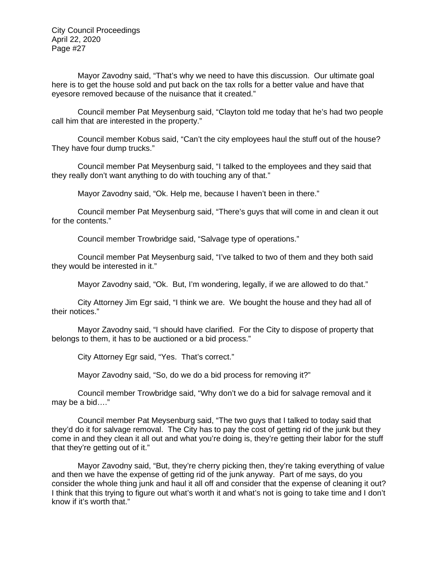Mayor Zavodny said, "That's why we need to have this discussion. Our ultimate goal here is to get the house sold and put back on the tax rolls for a better value and have that eyesore removed because of the nuisance that it created."

Council member Pat Meysenburg said, "Clayton told me today that he's had two people call him that are interested in the property."

Council member Kobus said, "Can't the city employees haul the stuff out of the house? They have four dump trucks."

Council member Pat Meysenburg said, "I talked to the employees and they said that they really don't want anything to do with touching any of that."

Mayor Zavodny said, "Ok. Help me, because I haven't been in there."

Council member Pat Meysenburg said, "There's guys that will come in and clean it out for the contents."

Council member Trowbridge said, "Salvage type of operations."

Council member Pat Meysenburg said, "I've talked to two of them and they both said they would be interested in it."

Mayor Zavodny said, "Ok. But, I'm wondering, legally, if we are allowed to do that."

City Attorney Jim Egr said, "I think we are. We bought the house and they had all of their notices."

Mayor Zavodny said, "I should have clarified. For the City to dispose of property that belongs to them, it has to be auctioned or a bid process."

City Attorney Egr said, "Yes. That's correct."

Mayor Zavodny said, "So, do we do a bid process for removing it?"

Council member Trowbridge said, "Why don't we do a bid for salvage removal and it may be a bid…."

Council member Pat Meysenburg said, "The two guys that I talked to today said that they'd do it for salvage removal. The City has to pay the cost of getting rid of the junk but they come in and they clean it all out and what you're doing is, they're getting their labor for the stuff that they're getting out of it."

Mayor Zavodny said, "But, they're cherry picking then, they're taking everything of value and then we have the expense of getting rid of the junk anyway. Part of me says, do you consider the whole thing junk and haul it all off and consider that the expense of cleaning it out? I think that this trying to figure out what's worth it and what's not is going to take time and I don't know if it's worth that."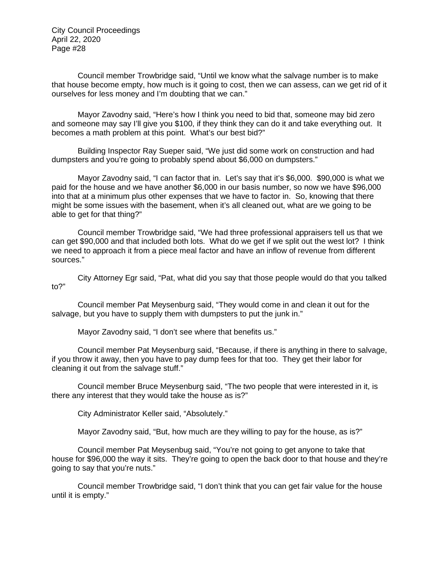Council member Trowbridge said, "Until we know what the salvage number is to make that house become empty, how much is it going to cost, then we can assess, can we get rid of it ourselves for less money and I'm doubting that we can."

Mayor Zavodny said, "Here's how I think you need to bid that, someone may bid zero and someone may say I'll give you \$100, if they think they can do it and take everything out. It becomes a math problem at this point. What's our best bid?"

Building Inspector Ray Sueper said, "We just did some work on construction and had dumpsters and you're going to probably spend about \$6,000 on dumpsters."

Mayor Zavodny said, "I can factor that in. Let's say that it's \$6,000. \$90,000 is what we paid for the house and we have another \$6,000 in our basis number, so now we have \$96,000 into that at a minimum plus other expenses that we have to factor in. So, knowing that there might be some issues with the basement, when it's all cleaned out, what are we going to be able to get for that thing?"

Council member Trowbridge said, "We had three professional appraisers tell us that we can get \$90,000 and that included both lots. What do we get if we split out the west lot? I think we need to approach it from a piece meal factor and have an inflow of revenue from different sources."

City Attorney Egr said, "Pat, what did you say that those people would do that you talked to?"

Council member Pat Meysenburg said, "They would come in and clean it out for the salvage, but you have to supply them with dumpsters to put the junk in."

Mayor Zavodny said, "I don't see where that benefits us."

Council member Pat Meysenburg said, "Because, if there is anything in there to salvage, if you throw it away, then you have to pay dump fees for that too. They get their labor for cleaning it out from the salvage stuff."

Council member Bruce Meysenburg said, "The two people that were interested in it, is there any interest that they would take the house as is?"

City Administrator Keller said, "Absolutely."

Mayor Zavodny said, "But, how much are they willing to pay for the house, as is?"

Council member Pat Meysenbug said, "You're not going to get anyone to take that house for \$96,000 the way it sits. They're going to open the back door to that house and they're going to say that you're nuts."

Council member Trowbridge said, "I don't think that you can get fair value for the house until it is empty."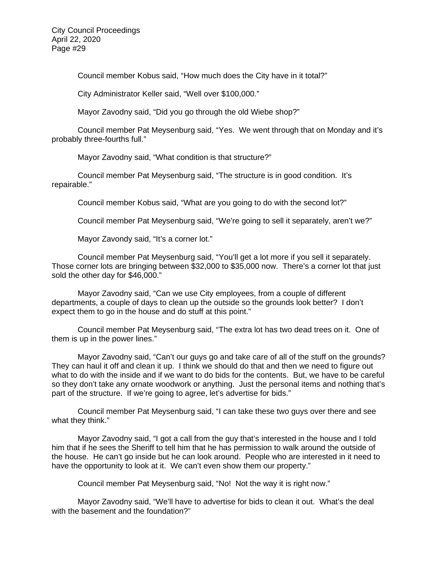Council member Kobus said, "How much does the City have in it total?"

City Administrator Keller said, "Well over \$100,000."

Mayor Zavodny said, "Did you go through the old Wiebe shop?"

Council member Pat Meysenburg said, "Yes. We went through that on Monday and it's probably three-fourths full."

Mayor Zavodny said, "What condition is that structure?"

Council member Pat Meysenburg said, "The structure is in good condition. It's repairable."

Council member Kobus said, "What are you going to do with the second lot?"

Council member Pat Meysenburg said, "We're going to sell it separately, aren't we?"

Mayor Zavondy said, "It's a corner lot."

Council member Pat Meysenburg said, "You'll get a lot more if you sell it separately. Those corner lots are bringing between \$32,000 to \$35,000 now. There's a corner lot that just sold the other day for \$46,000."

Mayor Zavodny said, "Can we use City employees, from a couple of different departments, a couple of days to clean up the outside so the grounds look better? I don't expect them to go in the house and do stuff at this point."

Council member Pat Meysenburg said, "The extra lot has two dead trees on it. One of them is up in the power lines."

Mayor Zavodny said, "Can't our guys go and take care of all of the stuff on the grounds? They can haul it off and clean it up. I think we should do that and then we need to figure out what to do with the inside and if we want to do bids for the contents. But, we have to be careful so they don't take any ornate woodwork or anything. Just the personal items and nothing that's part of the structure. If we're going to agree, let's advertise for bids."

Council member Pat Meysenburg said, "I can take these two guys over there and see what they think."

Mayor Zavodny said, "I got a call from the guy that's interested in the house and I told him that if he sees the Sheriff to tell him that he has permission to walk around the outside of the house. He can't go inside but he can look around. People who are interested in it need to have the opportunity to look at it. We can't even show them our property."

Council member Pat Meysenburg said, "No! Not the way it is right now."

Mayor Zavodny said, "We'll have to advertise for bids to clean it out. What's the deal with the basement and the foundation?"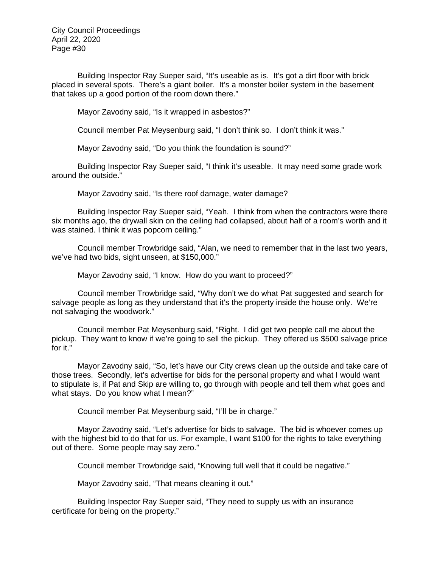Building Inspector Ray Sueper said, "It's useable as is. It's got a dirt floor with brick placed in several spots. There's a giant boiler. It's a monster boiler system in the basement that takes up a good portion of the room down there."

Mayor Zavodny said, "Is it wrapped in asbestos?"

Council member Pat Meysenburg said, "I don't think so. I don't think it was."

Mayor Zavodny said, "Do you think the foundation is sound?"

Building Inspector Ray Sueper said, "I think it's useable. It may need some grade work around the outside."

Mayor Zavodny said, "Is there roof damage, water damage?

Building Inspector Ray Sueper said, "Yeah. I think from when the contractors were there six months ago, the drywall skin on the ceiling had collapsed, about half of a room's worth and it was stained. I think it was popcorn ceiling."

Council member Trowbridge said, "Alan, we need to remember that in the last two years, we've had two bids, sight unseen, at \$150,000."

Mayor Zavodny said, "I know. How do you want to proceed?"

Council member Trowbridge said, "Why don't we do what Pat suggested and search for salvage people as long as they understand that it's the property inside the house only. We're not salvaging the woodwork."

Council member Pat Meysenburg said, "Right. I did get two people call me about the pickup. They want to know if we're going to sell the pickup. They offered us \$500 salvage price for it."

Mayor Zavodny said, "So, let's have our City crews clean up the outside and take care of those trees. Secondly, let's advertise for bids for the personal property and what I would want to stipulate is, if Pat and Skip are willing to, go through with people and tell them what goes and what stays. Do you know what I mean?"

Council member Pat Meysenburg said, "I'll be in charge."

Mayor Zavodny said, "Let's advertise for bids to salvage. The bid is whoever comes up with the highest bid to do that for us. For example, I want \$100 for the rights to take everything out of there. Some people may say zero."

Council member Trowbridge said, "Knowing full well that it could be negative."

Mayor Zavodny said, "That means cleaning it out."

Building Inspector Ray Sueper said, "They need to supply us with an insurance certificate for being on the property."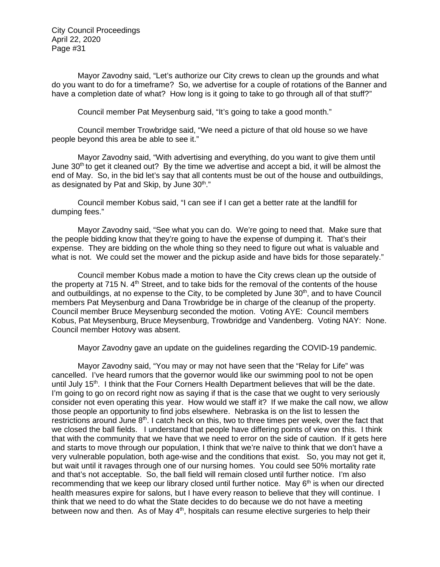Mayor Zavodny said, "Let's authorize our City crews to clean up the grounds and what do you want to do for a timeframe? So, we advertise for a couple of rotations of the Banner and have a completion date of what? How long is it going to take to go through all of that stuff?"

Council member Pat Meysenburg said, "It's going to take a good month."

Council member Trowbridge said, "We need a picture of that old house so we have people beyond this area be able to see it."

Mayor Zavodny said, "With advertising and everything, do you want to give them until June  $30<sup>th</sup>$  to get it cleaned out? By the time we advertise and accept a bid, it will be almost the end of May. So, in the bid let's say that all contents must be out of the house and outbuildings, as designated by Pat and Skip, by June 30<sup>th</sup>."

Council member Kobus said, "I can see if I can get a better rate at the landfill for dumping fees."

Mayor Zavodny said, "See what you can do. We're going to need that. Make sure that the people bidding know that they're going to have the expense of dumping it. That's their expense. They are bidding on the whole thing so they need to figure out what is valuable and what is not. We could set the mower and the pickup aside and have bids for those separately."

Council member Kobus made a motion to have the City crews clean up the outside of the property at 715 N.  $4<sup>th</sup>$  Street, and to take bids for the removal of the contents of the house and outbuildings, at no expense to the City, to be completed by June  $30<sup>th</sup>$ , and to have Council members Pat Meysenburg and Dana Trowbridge be in charge of the cleanup of the property. Council member Bruce Meysenburg seconded the motion. Voting AYE: Council members Kobus, Pat Meysenburg, Bruce Meysenburg, Trowbridge and Vandenberg. Voting NAY: None. Council member Hotovy was absent.

Mayor Zavodny gave an update on the guidelines regarding the COVID-19 pandemic.

Mayor Zavodny said, "You may or may not have seen that the "Relay for Life" was cancelled. I've heard rumors that the governor would like our swimming pool to not be open until July 15<sup>th</sup>. I think that the Four Corners Health Department believes that will be the date. I'm going to go on record right now as saying if that is the case that we ought to very seriously consider not even operating this year. How would we staff it? If we make the call now, we allow those people an opportunity to find jobs elsewhere. Nebraska is on the list to lessen the restrictions around June  $8<sup>th</sup>$ . I catch heck on this, two to three times per week, over the fact that we closed the ball fields. I understand that people have differing points of view on this. I think that with the community that we have that we need to error on the side of caution. If it gets here and starts to move through our population, I think that we're naïve to think that we don't have a very vulnerable population, both age-wise and the conditions that exist. So, you may not get it, but wait until it ravages through one of our nursing homes. You could see 50% mortality rate and that's not acceptable. So, the ball field will remain closed until further notice. I'm also recommending that we keep our library closed until further notice. May 6<sup>th</sup> is when our directed health measures expire for salons, but I have every reason to believe that they will continue. I think that we need to do what the State decides to do because we do not have a meeting between now and then. As of May  $4<sup>th</sup>$ , hospitals can resume elective surgeries to help their